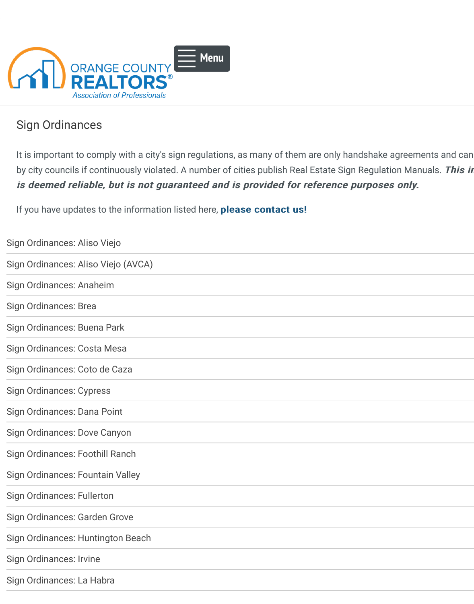

## Sign Ordinances

[It is important to comply with a city's si](https://www.ocar.org/index.php)[gn regulations](https://www.ocar.org/Sign-Ordinances.html#), as many of them are only handshake agreements and can by city councils if continuously violated. A number of cities publish Real Estate Sign Regulation is deemed reliable, but is not guaranteed and is provided for reference purposes o

If you have updates to the information listed here, please contact us!

| Sign Ordinances: Aliso Viejo        |  |
|-------------------------------------|--|
| Sign Ordinances: Aliso Viejo (AVCA) |  |
| Sign Ordinances: Anaheim            |  |
| Sign Ordinances: Brea               |  |
| Sign Ordinances: Buena Park         |  |
| Sign Ordinances: Costa Mesa         |  |
| Sign Ordinances: Coto de Caza       |  |
| <b>Sign Ordinances: Cypress</b>     |  |
| <b>Sign Ordinances: Dana Point</b>  |  |
| <b>Sign Ordinances: Dove Canyon</b> |  |
| Sign Ordinances: Foothill Ranch     |  |
| Sign Ordinances: Fountain Valley    |  |
| <b>Sign Ordinances: Fullerton</b>   |  |
| Sign Ordinances: Garden Grove       |  |
| Sign Ordinances: Huntington Beach   |  |
| <b>Sign Ordinances: Irvine</b>      |  |
| Sign Ordinances: La Habra           |  |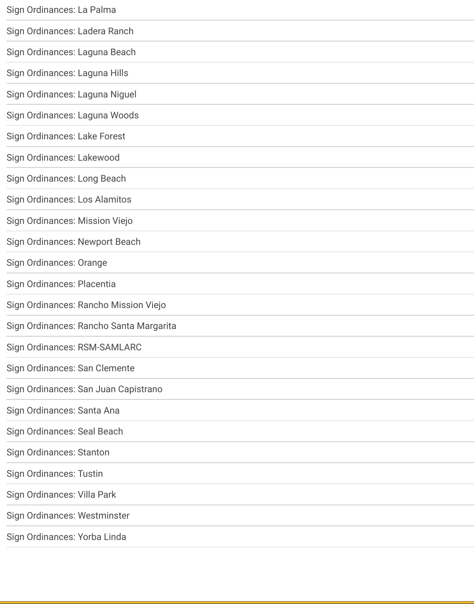| Sign Ordinances: Laguna Niguel          |
|-----------------------------------------|
| Sign Ordinances: Laguna Woods           |
| Sign Ordinances: Lake Forest            |
| Sign Ordinances: Lakewood               |
| Sign Ordinances: Long Beach             |
| <b>Sign Ordinances: Los Alamitos</b>    |
| Sign Ordinances: Mission Viejo          |
| Sign Ordinances: Newport Beach          |
| <b>Sign Ordinances: Orange</b>          |
| Sign Ordinances: Placentia              |
| Sign Ordinances: Rancho Mission Viejo   |
| Sign Ordinances: Rancho Santa Margarita |
|                                         |
| Sign Ordinances: RSM-SAMLARC            |
| Sign Ordinances: San Clemente           |
| Sign Ordinances: San Juan Capistrano    |
| Sign Ordinances: Santa Ana              |
| <b>Sign Ordinances: Seal Beach</b>      |
| <b>Sign Ordinances: Stanton</b>         |
| <b>Sign Ordinances: Tustin</b>          |
| Sign Ordinances: Villa Park             |
| Sign Ordinances: Westminster            |